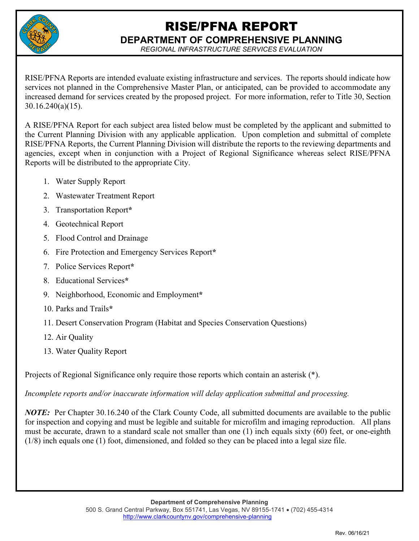

# RISE/PFNA REPORT **DEPARTMENT OF COMPREHENSIVE PLANNING**

*REGIONAL INFRASTRUCTURE SERVICES EVALUATION* 

RISE/PFNA Reports are intended evaluate existing infrastructure and services. The reports should indicate how services not planned in the Comprehensive Master Plan, or anticipated, can be provided to accommodate any increased demand for services created by the proposed project. For more information, refer to Title 30, Section 30.16.240(a)(15).

A RISE/PFNA Report for each subject area listed below must be completed by the applicant and submitted to the Current Planning Division with any applicable application. Upon completion and submittal of complete RISE/PFNA Reports, the Current Planning Division will distribute the reports to the reviewing departments and agencies, except when in conjunction with a Project of Regional Significance whereas select RISE/PFNA Reports will be distributed to the appropriate City.

- 1. Water Supply Report
- 2. Wastewater Treatment Report
- 3. Transportation Report**\***
- 4. Geotechnical Report
- 5. Flood Control and Drainage
- 6. Fire Protection and Emergency Services Report**\***
- 7. Police Services Report**\***
- 8. Educational Services**\***
- 9. Neighborhood, Economic and Employment**\***
- 10. Parks and Trails**\***
- 11. Desert Conservation Program (Habitat and Species Conservation Questions)
- 12. Air Quality
- 13. Water Quality Report

Projects of Regional Significance only require those reports which contain an asterisk (\*).

*Incomplete reports and/or inaccurate information will delay application submittal and processing.* 

*NOTE*: Per Chapter 30.16.240 of the Clark County Code, all submitted documents are available to the public for inspection and copying and must be legible and suitable for microfilm and imaging reproduction. All plans must be accurate, drawn to a standard scale not smaller than one (1) inch equals sixty (60) feet, or one-eighth (1/8) inch equals one (1) foot, dimensioned, and folded so they can be placed into a legal size file.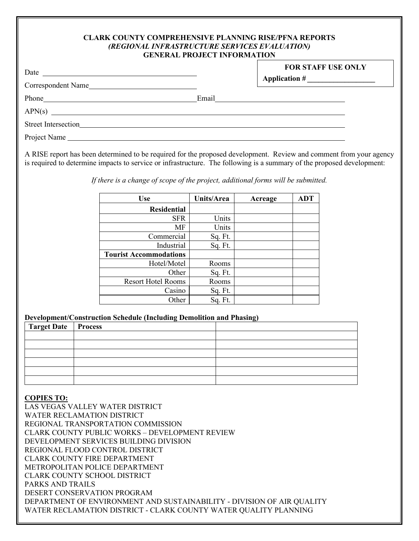#### **CLARK COUNTY COMPREHENSIVE PLANNING RISE/PFNA REPORTS** *(REGIONAL INFRASTRUCTURE SERVICES EVALUATION)* **GENERAL PROJECT INFORMATION**

| Date                |                                                       | <b>FOR STAFF USE ONLY</b> |
|---------------------|-------------------------------------------------------|---------------------------|
| Correspondent Name  |                                                       |                           |
|                     | Email                                                 |                           |
| APN(s)              | <u> 1986 - Andrea Andrew Maria (h. 1986).</u><br>Nati |                           |
| Street Intersection |                                                       |                           |
| Project Name        |                                                       |                           |

A RISE report has been determined to be required for the proposed development. Review and comment from your agency is required to determine impacts to service or infrastructure. The following is a summary of the proposed development:

*If there is a change of scope of the project, additional forms will be submitted.* 

| <b>Use</b>                    | Units/Area | Acreage | <b>ADT</b> |
|-------------------------------|------------|---------|------------|
| <b>Residential</b>            |            |         |            |
| <b>SFR</b>                    | Units      |         |            |
| MF                            | Units      |         |            |
| Commercial                    | Sq. Ft.    |         |            |
| Industrial                    | Sq. Ft.    |         |            |
| <b>Tourist Accommodations</b> |            |         |            |
| Hotel/Motel                   | Rooms      |         |            |
| Other                         | Sq. Ft.    |         |            |
| <b>Resort Hotel Rooms</b>     | Rooms      |         |            |
| Casino                        | Sq. Ft.    |         |            |
| Other                         | Sq. Ft.    |         |            |

# **Development/Construction Schedule (Including Demolition and Phasing)**

| Target Date Process |  |
|---------------------|--|
|                     |  |
|                     |  |
|                     |  |
|                     |  |
|                     |  |
|                     |  |

## **COPIES TO:**

LAS VEGAS VALLEY WATER DISTRICT WATER RECLAMATION DISTRICT REGIONAL TRANSPORTATION COMMISSION CLARK COUNTY PUBLIC WORKS – DEVELOPMENT REVIEW DEVELOPMENT SERVICES BUILDING DIVISION REGIONAL FLOOD CONTROL DISTRICT CLARK COUNTY FIRE DEPARTMENT METROPOLITAN POLICE DEPARTMENT CLARK COUNTY SCHOOL DISTRICT PARKS AND TRAILS DESERT CONSERVATION PROGRAM DEPARTMENT OF ENVIRONMENT AND SUSTAINABILITY - DIVISION OF AIR QUALITY WATER RECLAMATION DISTRICT - CLARK COUNTY WATER QUALITY PLANNING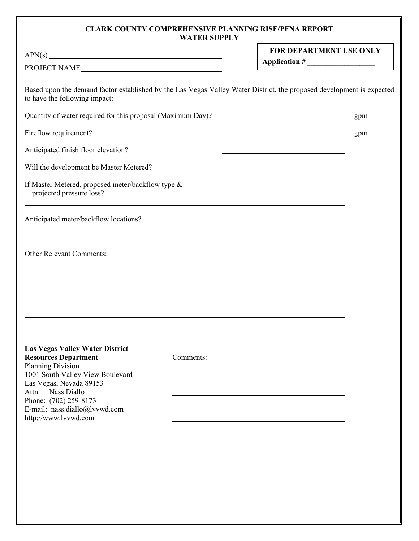# **CLARK COUNTY COMPREHENSIVE PLANNING RISE/PFNA REPORT WATER SUPPLY**

| APN(s)<br>PROJECT NAME                                                                                                                                                                                                                                                  |           | FOR DEPARTMENT USE ONLY<br>Application #                                                                             |     |  |
|-------------------------------------------------------------------------------------------------------------------------------------------------------------------------------------------------------------------------------------------------------------------------|-----------|----------------------------------------------------------------------------------------------------------------------|-----|--|
| Based upon the demand factor established by the Las Vegas Valley Water District, the proposed development is expected<br>to have the following impact:                                                                                                                  |           |                                                                                                                      |     |  |
| Quantity of water required for this proposal (Maximum Day)?                                                                                                                                                                                                             |           |                                                                                                                      | gpm |  |
| Fireflow requirement?                                                                                                                                                                                                                                                   |           | <u> 1989 - Johann Barbara, martin amerikan basar dan basa dan basa dan basa dan basa dan basa dalam basa dalam b</u> | gpm |  |
| Anticipated finish floor elevation?                                                                                                                                                                                                                                     |           |                                                                                                                      |     |  |
| Will the development be Master Metered?                                                                                                                                                                                                                                 |           |                                                                                                                      |     |  |
| If Master Metered, proposed meter/backflow type &<br>projected pressure loss?                                                                                                                                                                                           |           |                                                                                                                      |     |  |
| Anticipated meter/backflow locations?                                                                                                                                                                                                                                   |           |                                                                                                                      |     |  |
| Other Relevant Comments:                                                                                                                                                                                                                                                |           |                                                                                                                      |     |  |
| <b>Las Vegas Valley Water District</b><br><b>Resources Department</b><br><b>Planning Division</b><br>1001 South Valley View Boulevard<br>Las Vegas, Nevada 89153<br>Attn: Nass Diallo<br>Phone: (702) 259-8173<br>E-mail: nass.diallo@lvvwd.com<br>http://www.lvvwd.com | Comments: | ,我们也不会有什么。""我们的人,我们也不会有什么?""我们的人,我们也不会有什么?""我们的人,我们也不会有什么?""我们的人,我们也不会有什么?""我们的人                                     |     |  |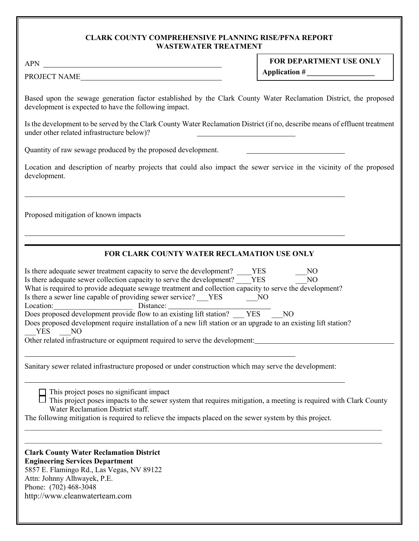# **CLARK COUNTY COMPREHENSIVE PLANNING RISE/PFNA REPORT WASTEWATER TREATMENT**

| <b>APN</b><br><u> 1980 - Johann Barn, mars ann an t-Amhain Aonaich an t-Aonaich an t-Aonaich an t-Aonaich an t-Aonaich an t-Aon</u>                                                                                                                                                                                                                                                                                                                                                                                                                                                                                                                                          | FOR DEPARTMENT USE ONLY                            |
|------------------------------------------------------------------------------------------------------------------------------------------------------------------------------------------------------------------------------------------------------------------------------------------------------------------------------------------------------------------------------------------------------------------------------------------------------------------------------------------------------------------------------------------------------------------------------------------------------------------------------------------------------------------------------|----------------------------------------------------|
| PROJECT NAME                                                                                                                                                                                                                                                                                                                                                                                                                                                                                                                                                                                                                                                                 | Application #                                      |
| Based upon the sewage generation factor established by the Clark County Water Reclamation District, the proposed<br>development is expected to have the following impact.<br>Is the development to be served by the Clark County Water Reclamation District (if no, describe means of effluent treatment<br>under other related infrastructure below)?                                                                                                                                                                                                                                                                                                                       |                                                    |
| Quantity of raw sewage produced by the proposed development.                                                                                                                                                                                                                                                                                                                                                                                                                                                                                                                                                                                                                 |                                                    |
| Location and description of nearby projects that could also impact the sewer service in the vicinity of the proposed<br>development.                                                                                                                                                                                                                                                                                                                                                                                                                                                                                                                                         |                                                    |
| Proposed mitigation of known impacts                                                                                                                                                                                                                                                                                                                                                                                                                                                                                                                                                                                                                                         |                                                    |
| FOR CLARK COUNTY WATER RECLAMATION USE ONLY                                                                                                                                                                                                                                                                                                                                                                                                                                                                                                                                                                                                                                  |                                                    |
| Is there adequate sewer treatment capacity to serve the development? YES<br>Is there adequate sewer collection capacity to serve the development? VES<br>What is required to provide adequate sewage treatment and collection capacity to serve the development?<br>Is there a sewer line capable of providing sewer service? VES NO<br>Location:<br>Distance:<br>Does proposed development provide flow to an existing lift station? YES<br>Does proposed development require installation of a new lift station or an upgrade to an existing lift station?<br><b>YES</b><br>N <sub>O</sub><br>Other related infrastructure or equipment required to serve the development: | N <sub>O</sub><br>N <sub>O</sub><br>N <sub>O</sub> |
| Sanitary sewer related infrastructure proposed or under construction which may serve the development:                                                                                                                                                                                                                                                                                                                                                                                                                                                                                                                                                                        |                                                    |
| This project poses no significant impact<br>This project poses impacts to the sewer system that requires mitigation, a meeting is required with Clark County<br>Water Reclamation District staff.<br>The following mitigation is required to relieve the impacts placed on the sewer system by this project.                                                                                                                                                                                                                                                                                                                                                                 |                                                    |
| <b>Clark County Water Reclamation District</b><br><b>Engineering Services Department</b><br>5857 E. Flamingo Rd., Las Vegas, NV 89122<br>Attn: Johnny Alhwayek, P.E.<br>Phone: (702) 468-3048<br>http://www.cleanwaterteam.com                                                                                                                                                                                                                                                                                                                                                                                                                                               |                                                    |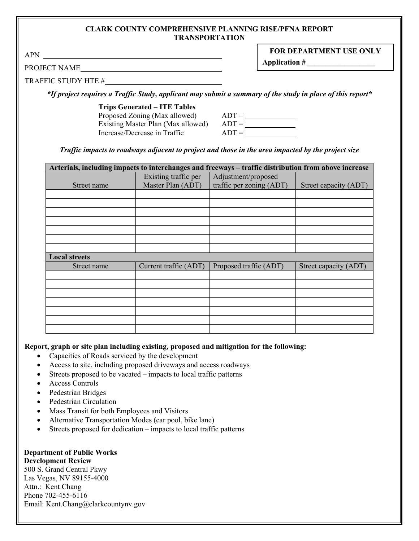#### **CLARK COUNTY COMPREHENSIVE PLANNING RISE/PFNA REPORT TRANSPORTATION**

APN

**Application #** *\_\_\_\_\_\_\_\_\_\_\_\_\_\_\_\_\_\_* 

PROJECT NAME

TRAFFIC STUDY HTE.#

*\*If project requires a Traffic Study, applicant may submit a summary of the study in place of this report\**

**Trips Generated – ITE Tables**

| Proposed Zoning (Max allowed)      | $ADT =$ |
|------------------------------------|---------|
| Existing Master Plan (Max allowed) | $ADT =$ |
| Increase/Decrease in Traffic       | $ADT =$ |

*Traffic impacts to roadways adjacent to project and those in the area impacted by the project size*

| Arterials, including impacts to interchanges and freeways – traffic distribution from above increase |                       |                          |                       |  |
|------------------------------------------------------------------------------------------------------|-----------------------|--------------------------|-----------------------|--|
|                                                                                                      | Existing traffic per  | Adjustment/proposed      |                       |  |
| Street name                                                                                          | Master Plan (ADT)     | traffic per zoning (ADT) | Street capacity (ADT) |  |
|                                                                                                      |                       |                          |                       |  |
|                                                                                                      |                       |                          |                       |  |
|                                                                                                      |                       |                          |                       |  |
|                                                                                                      |                       |                          |                       |  |
|                                                                                                      |                       |                          |                       |  |
|                                                                                                      |                       |                          |                       |  |
|                                                                                                      |                       |                          |                       |  |
| <b>Local streets</b>                                                                                 |                       |                          |                       |  |
| Street name                                                                                          | Current traffic (ADT) | Proposed traffic (ADT)   | Street capacity (ADT) |  |
|                                                                                                      |                       |                          |                       |  |
|                                                                                                      |                       |                          |                       |  |
|                                                                                                      |                       |                          |                       |  |
|                                                                                                      |                       |                          |                       |  |
|                                                                                                      |                       |                          |                       |  |
|                                                                                                      |                       |                          |                       |  |
|                                                                                                      |                       |                          |                       |  |

**Report, graph or site plan including existing, proposed and mitigation for the following:** 

- Capacities of Roads serviced by the development
- Access to site, including proposed driveways and access roadways
- Streets proposed to be vacated impacts to local traffic patterns
- Access Controls
- Pedestrian Bridges
- Pedestrian Circulation
- Mass Transit for both Employees and Visitors
- Alternative Transportation Modes (car pool, bike lane)
- Streets proposed for dedication impacts to local traffic patterns

#### **Department of Public Works Development Review**

500 S. Grand Central Pkwy Las Vegas, NV 89155-4000 Attn.: Kent Chang Phone 702-455-6116 Email: Kent.Chang@clarkcountynv.gov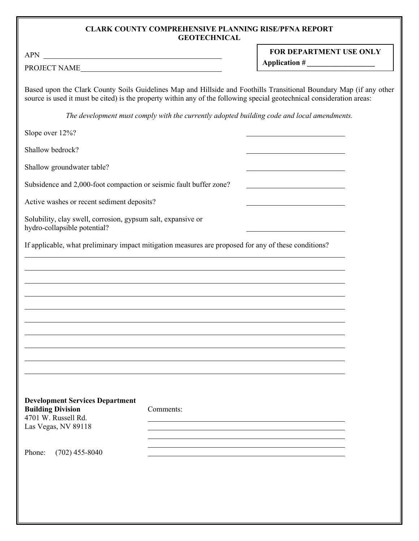#### **CLARK COUNTY COMPREHENSIVE PLANNING RISE/PFNA REPORT GEOTECHNICAL**

APN

 $\overline{a}$ 

| <b>FOR DEPARTMENT USE ONLY</b> |  |  |
|--------------------------------|--|--|
| Application #                  |  |  |

PROJECT NAME

Based upon the Clark County Soils Guidelines Map and Hillside and Foothills Transitional Boundary Map (if any other source is used it must be cited) is the property within any of the following special geotechnical consideration areas:

*The development must comply with the currently adopted building code and local amendments.* 

Slope over 12%?

Shallow bedrock?

Shallow groundwater table?

Subsidence and 2,000-foot compaction or seismic fault buffer zone?

Active washes or recent sediment deposits?

Solubility, clay swell, corrosion, gypsum salt, expansive or hydro-collapsible potential?

If applicable, what preliminary impact mitigation measures are proposed for any of these conditions?

| <b>Development Services Department</b> |           |
|----------------------------------------|-----------|
| <b>Building Division</b>               | Comments: |
| 4701 W. Russell Rd.                    |           |
| Las Vegas, NV 89118                    |           |
|                                        |           |
|                                        |           |
| Phone: $(702)$ 455-8040                |           |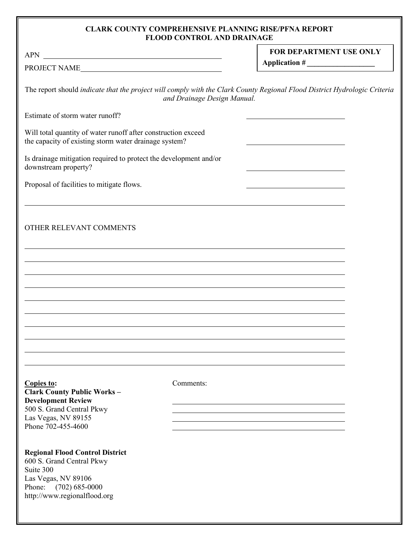## **CLARK COUNTY COMPREHENSIVE PLANNING RISE/PFNA REPORT FLOOD CONTROL AND DRAINAGE**

| APN                                                                                                                                                                   |                             | <b>FOR DEPARTMENT USE ONLY</b> |  |
|-----------------------------------------------------------------------------------------------------------------------------------------------------------------------|-----------------------------|--------------------------------|--|
| PROJECT NAME                                                                                                                                                          |                             |                                |  |
| The report should indicate that the project will comply with the Clark County Regional Flood District Hydrologic Criteria                                             | and Drainage Design Manual. |                                |  |
| Estimate of storm water runoff?                                                                                                                                       |                             |                                |  |
| Will total quantity of water runoff after construction exceed<br>the capacity of existing storm water drainage system?                                                |                             |                                |  |
| Is drainage mitigation required to protect the development and/or<br>downstream property?                                                                             |                             |                                |  |
| Proposal of facilities to mitigate flows.                                                                                                                             |                             |                                |  |
| OTHER RELEVANT COMMENTS                                                                                                                                               |                             |                                |  |
|                                                                                                                                                                       |                             |                                |  |
|                                                                                                                                                                       |                             |                                |  |
|                                                                                                                                                                       |                             |                                |  |
|                                                                                                                                                                       |                             |                                |  |
|                                                                                                                                                                       |                             |                                |  |
| Copies to:<br><b>Clark County Public Works-</b><br><b>Development Review</b>                                                                                          | Comments:                   |                                |  |
| 500 S. Grand Central Pkwy<br>Las Vegas, NV 89155<br>Phone 702-455-4600                                                                                                |                             |                                |  |
| <b>Regional Flood Control District</b><br>600 S. Grand Central Pkwy<br>Suite 300<br>Las Vegas, NV 89106<br>Phone:<br>$(702)$ 685-0000<br>http://www.regionalflood.org |                             |                                |  |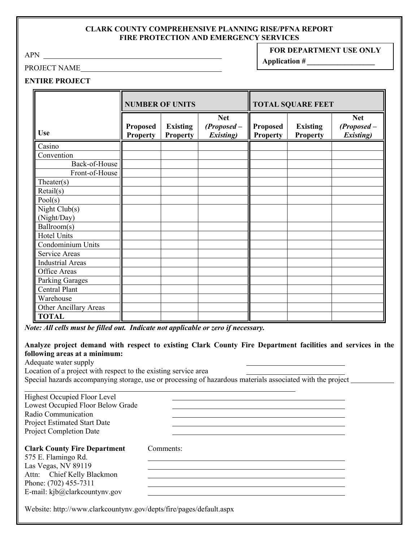#### **CLARK COUNTY COMPREHENSIVE PLANNING RISE/PFNA REPORT FIRE PROTECTION AND EMERGENCY SERVICES**

APN

# PROJECT NAME

**FOR DEPARTMENT USE ONLY**

**Application #** *\_\_\_\_\_\_\_\_\_\_\_\_\_\_\_\_\_\_* 

# **ENTIRE PROJECT**

|                              | <b>NUMBER OF UNITS</b>             |                                    | <b>TOTAL SQUARE FEET</b>                         |                                    |                                    |                                                  |
|------------------------------|------------------------------------|------------------------------------|--------------------------------------------------|------------------------------------|------------------------------------|--------------------------------------------------|
| <b>Use</b>                   | <b>Proposed</b><br><b>Property</b> | <b>Existing</b><br><b>Property</b> | <b>Net</b><br>$(Proposed -$<br><b>Existing</b> ) | <b>Proposed</b><br><b>Property</b> | <b>Existing</b><br><b>Property</b> | <b>Net</b><br>$(Proposed -$<br><b>Existing</b> ) |
| Casino                       |                                    |                                    |                                                  |                                    |                                    |                                                  |
| Convention                   |                                    |                                    |                                                  |                                    |                                    |                                                  |
| Back-of-House                |                                    |                                    |                                                  |                                    |                                    |                                                  |
| Front-of-House               |                                    |                                    |                                                  |                                    |                                    |                                                  |
| Theater(s)                   |                                    |                                    |                                                  |                                    |                                    |                                                  |
| Retail(s)                    |                                    |                                    |                                                  |                                    |                                    |                                                  |
| Pool(s)                      |                                    |                                    |                                                  |                                    |                                    |                                                  |
| Night Club(s)                |                                    |                                    |                                                  |                                    |                                    |                                                  |
| (Night/Day)                  |                                    |                                    |                                                  |                                    |                                    |                                                  |
| Ballroom(s)                  |                                    |                                    |                                                  |                                    |                                    |                                                  |
| Hotel Units                  |                                    |                                    |                                                  |                                    |                                    |                                                  |
| Condominium Units            |                                    |                                    |                                                  |                                    |                                    |                                                  |
| Service Areas                |                                    |                                    |                                                  |                                    |                                    |                                                  |
| <b>Industrial Areas</b>      |                                    |                                    |                                                  |                                    |                                    |                                                  |
| Office Areas                 |                                    |                                    |                                                  |                                    |                                    |                                                  |
| <b>Parking Garages</b>       |                                    |                                    |                                                  |                                    |                                    |                                                  |
| Central Plant                |                                    |                                    |                                                  |                                    |                                    |                                                  |
| Warehouse                    |                                    |                                    |                                                  |                                    |                                    |                                                  |
| <b>Other Ancillary Areas</b> |                                    |                                    |                                                  |                                    |                                    |                                                  |
| <b>TOTAL</b>                 |                                    |                                    |                                                  |                                    |                                    |                                                  |

*Note: All cells must be filled out. Indicate not applicable or zero if necessary.* 

**Analyze project demand with respect to existing Clark County Fire Department facilities and services in the following areas at a minimum:** 

> <u> 1980 - Johann Barn, mars ann an t-Amhain Aonaichte ann an t-Aonaichte ann an t-Aonaichte ann an t-Aonaichte a</u>

| Location of a project with respect to the existing service area |                                                                                                            |
|-----------------------------------------------------------------|------------------------------------------------------------------------------------------------------------|
|                                                                 | Special hazards accompanying storage, use or processing of hazardous materials associated with the project |
| <b>Highest Occupied Floor Level</b>                             |                                                                                                            |
|                                                                 |                                                                                                            |
| Lowest Occupied Floor Below Grade                               |                                                                                                            |
| Radio Communication                                             |                                                                                                            |
| <b>Project Estimated Start Date</b>                             |                                                                                                            |
| <b>Project Completion Date</b>                                  |                                                                                                            |

## **Clark County Fire Department** Comments:

575 E. Flamingo Rd. Las Vegas, NV 89119 Attn: Chief Kelly Blackmon Phone: (702) 455-7311 E-mail: kjb@clarkcountynv.gov

Website: http://www.clarkcountynv.gov/depts/fire/pages/default.aspx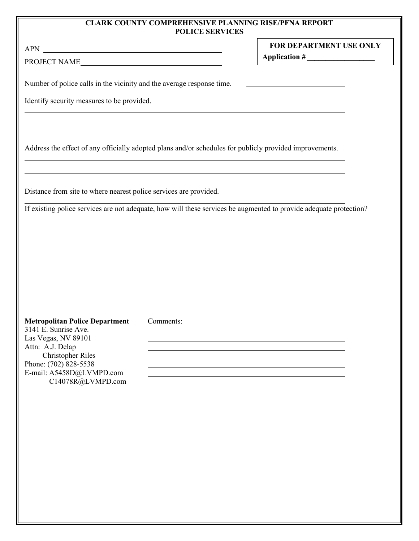#### **CLARK COUNTY COMPREHENSIVE PLANNING RISE/PFNA REPORT POLICE SERVICES**

 $\overline{\phantom{a}}$ 

**FOR DEPARTMENT USE ONLY Application #** *\_\_\_\_\_\_\_\_\_\_\_\_\_\_\_\_\_\_* 

APN

PROJECT NAME

Number of police calls in the vicinity and the average response time.

Identify security measures to be provided.

Address the effect of any officially adopted plans and/or schedules for publicly provided improvements.

<u> 1980 - Johann Stoff, deutscher Stoffen und der Stoffen und der Stoffen und der Stoffen und der Stoffen und der</u>

Distance from site to where nearest police services are provided.

If existing police services are not adequate, how will these services be augmented to provide adequate protection?

| <b>Metropolitan Police Department</b> | Comments: |
|---------------------------------------|-----------|
| 3141 E. Sunrise Ave.                  |           |
| Las Vegas, NV 89101                   |           |
| Attn: A.J. Delap                      |           |
| <b>Christopher Riles</b>              |           |
| Phone: (702) 828-5538                 |           |
| E-mail: A5458D@LVMPD.com              |           |
| C14078R@LVMPD.com                     |           |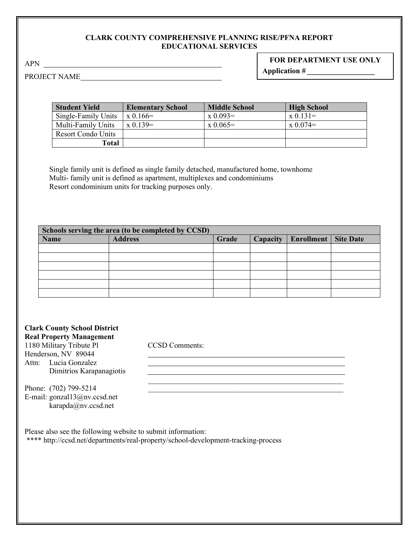## **CLARK COUNTY COMPREHENSIVE PLANNING RISE/PFNA REPORT EDUCATIONAL SERVICES**

APN

# **FOR DEPARTMENT USE ONLY Application #** *\_\_\_\_\_\_\_\_\_\_\_\_\_\_\_\_\_\_*

PROJECT NAME

| <b>Student Yield</b>      | <b>Elementary School</b> | <b>Middle School</b> | <b>High School</b> |
|---------------------------|--------------------------|----------------------|--------------------|
| Single-Family Units       | $x\,0.166=$              | $\rm x\;0.093=$      | $x \ 0.131 =$      |
| Multi-Family Units        | $x \, 0.139 =$           | $\rm x\; 0.065=$     | $\rm x\; 0.074=$   |
| <b>Resort Condo Units</b> |                          |                      |                    |
| Total                     |                          |                      |                    |

Single family unit is defined as single family detached, manufactured home, townhome Multi- family unit is defined as apartment, multiplexes and condominiums Resort condominium units for tracking purposes only.

| Schools serving the area (to be completed by CCSD) |                |       |          |                   |                  |
|----------------------------------------------------|----------------|-------|----------|-------------------|------------------|
| <b>Name</b>                                        | <b>Address</b> | Grade | Capacity | <b>Enrollment</b> | <b>Site Date</b> |
|                                                    |                |       |          |                   |                  |
|                                                    |                |       |          |                   |                  |
|                                                    |                |       |          |                   |                  |
|                                                    |                |       |          |                   |                  |
|                                                    |                |       |          |                   |                  |
|                                                    |                |       |          |                   |                  |

 $\mathcal{L}_\text{max}$  , and the contract of the contract of the contract of the contract of the contract of the contract of the contract of the contract of the contract of the contract of the contract of the contract of the contr

<u> 1989 - Johann Stein, marwolaethau a bhann an t-Amhainn an t-Amhainn an t-Amhainn an t-Amhainn an t-Amhainn a</u>

| <b>Clark County School District</b> |
|-------------------------------------|
| <b>Real Property Management</b>     |
| 1180 Military Tribute Pl            |
| Henderson, NV 89044                 |
| Attn: Lucia Gonzalez                |
| Dimitrios Karapanagiotis            |

CCSD Comments:

Phone: (702) 799-5214 E-mail: gonzal13@nv.ccsd.net karapda@nv.ccsd.net

Please also see the following website to submit information: \*\*\*\* http://ccsd.net/departments/real-property/school-development-tracking-process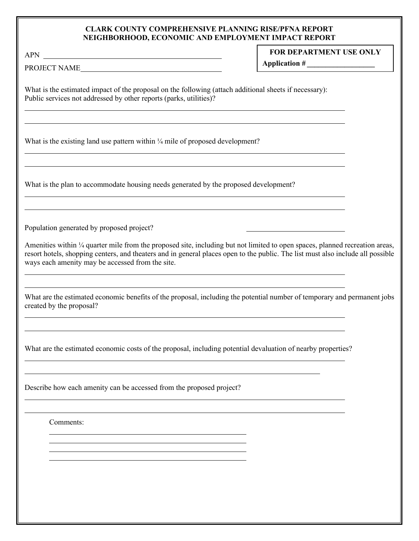#### **CLARK COUNTY COMPREHENSIVE PLANNING RISE/PFNA REPORT NEIGHBORHOOD, ECONOMIC AND EMPLOYMENT IMPACT REPORT**

# **FOR DEPARTMENT USE ONLY**

**Application #** *\_\_\_\_\_\_\_\_\_\_\_\_\_\_\_\_\_\_* 

PROJECT NAME\_

What is the estimated impact of the proposal on the following (attach additional sheets if necessary): Public services not addressed by other reports (parks, utilities)?

What is the existing land use pattern within  $\frac{1}{4}$  mile of proposed development?

What is the plan to accommodate housing needs generated by the proposed development?

Population generated by proposed project?

Amenities within  $\frac{1}{4}$  quarter mile from the proposed site, including but not limited to open spaces, planned recreation areas, resort hotels, shopping centers, and theaters and in general places open to the public. The list must also include all possible ways each amenity may be accessed from the site.

What are the estimated economic benefits of the proposal, including the potential number of temporary and permanent jobs created by the proposal?

What are the estimated economic costs of the proposal, including potential devaluation of nearby properties?

Describe how each amenity can be accessed from the proposed project?

Comments: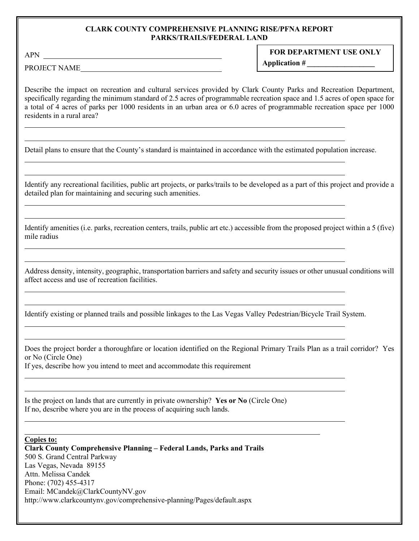#### **CLARK COUNTY COMPREHENSIVE PLANNING RISE/PFNA REPORT PARKS/TRAILS/FEDERAL LAND**

APN

 $\overline{a}$ 

 $\overline{a}$ 

 $\overline{a}$ 

  $\overline{a}$ 

## **FOR DEPARTMENT USE ONLY**

**Application #** *\_\_\_\_\_\_\_\_\_\_\_\_\_\_\_\_\_\_* 

PROJECT NAME

Describe the impact on recreation and cultural services provided by Clark County Parks and Recreation Department, specifically regarding the minimum standard of 2.5 acres of programmable recreation space and 1.5 acres of open space for a total of 4 acres of parks per 1000 residents in an urban area or 6.0 acres of programmable recreation space per 1000 residents in a rural area?

Detail plans to ensure that the County's standard is maintained in accordance with the estimated population increase.

Identify any recreational facilities, public art projects, or parks/trails to be developed as a part of this project and provide a detailed plan for maintaining and securing such amenities.

Identify amenities (i.e. parks, recreation centers, trails, public art etc.) accessible from the proposed project within a 5 (five) mile radius

Address density, intensity, geographic, transportation barriers and safety and security issues or other unusual conditions will affect access and use of recreation facilities.

Identify existing or planned trails and possible linkages to the Las Vegas Valley Pedestrian/Bicycle Trail System.

Does the project border a thoroughfare or location identified on the Regional Primary Trails Plan as a trail corridor? Yes or No (Circle One)

If yes, describe how you intend to meet and accommodate this requirement

Is the project on lands that are currently in private ownership? **Yes or No** (Circle One) If no, describe where you are in the process of acquiring such lands.

**Copies to: Clark County Comprehensive Planning – Federal Lands, Parks and Trails** 500 S. Grand Central Parkway Las Vegas, Nevada 89155 Attn. Melissa Candek Phone: (702) 455-4317 Email: MCandek@ClarkCountyNV.gov http://www.clarkcountynv.gov/comprehensive-planning/Pages/default.aspx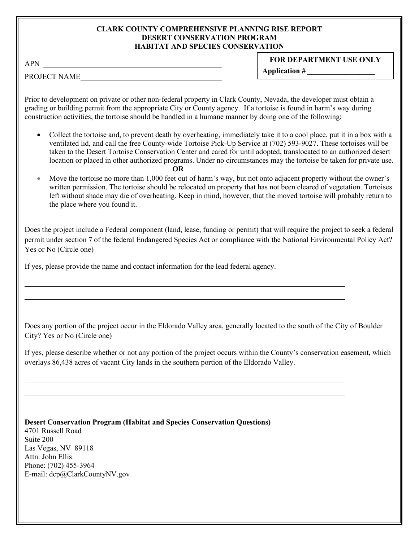#### **CLARK COUNTY COMPREHENSIVE PLANNING RISE REPORT DESERT CONSERVATION PROGRAM HABITAT AND SPECIES CONSERVATION**

# **FOR DEPARTMENT USE ONLY**

PROJECT NAME

**Application #** *\_\_\_\_\_\_\_\_\_\_\_\_\_\_\_\_\_\_* 

Prior to development on private or other non-federal property in Clark County, Nevada, the developer must obtain a grading or building permit from the appropriate City or County agency. If a tortoise is found in harm's way during construction activities, the tortoise should be handled in a humane manner by doing one of the following:

- Collect the tortoise and, to prevent death by overheating, immediately take it to a cool place, put it in a box with a ventilated lid, and call the free County-wide Tortoise Pick-Up Service at (702) 593-9027. These tortoises will be taken to the Desert Tortoise Conservation Center and cared for until adopted, translocated to an authorized desert location or placed in other authorized programs. Under no circumstances may the tortoise be taken for private use. **OR**
- Move the tortoise no more than 1,000 feet out of harm's way, but not onto adjacent property without the owner's written permission. The tortoise should be relocated on property that has not been cleared of vegetation. Tortoises left without shade may die of overheating. Keep in mind, however, that the moved tortoise will probably return to the place where you found it.

Does the project include a Federal component (land, lease, funding or permit) that will require the project to seek a federal permit under section 7 of the federal Endangered Species Act or compliance with the National Environmental Policy Act? Yes or No (Circle one)

If yes, please provide the name and contact information for the lead federal agency.

Does any portion of the project occur in the Eldorado Valley area, generally located to the south of the City of Boulder City? Yes or No (Circle one)

If yes, please describe whether or not any portion of the project occurs within the County's conservation easement, which overlays 86,438 acres of vacant City lands in the southern portion of the Eldorado Valley.

**Desert Conservation Program (Habitat and Species Conservation Questions)**  4701 Russell Road Suite 200 Las Vegas, NV 89118 Attn: John Ellis Phone: (702) 455-3964 E-mail: dcp@ClarkCountyNV.gov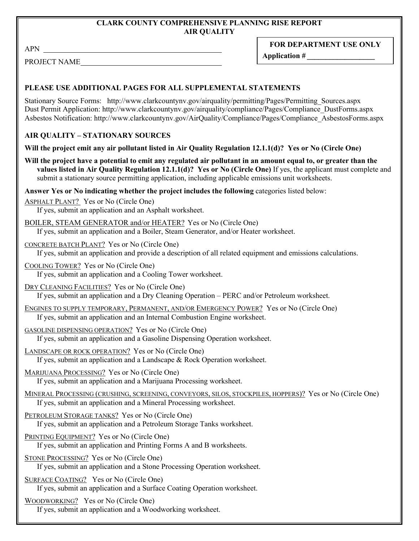# **CLARK COUNTY COMPREHENSIVE PLANNING RISE REPORT AIR QUALITY**

APN

**FOR DEPARTMENT USE ONLY**

PROJECT NAME

**Application #** *\_\_\_\_\_\_\_\_\_\_\_\_\_\_\_\_\_\_* 

# **PLEASE USE ADDITIONAL PAGES FOR ALL SUPPLEMENTAL STATEMENTS**

Stationary Source Forms: http://www.clarkcountynv.gov/airquality/permitting/Pages/Permitting\_Sources.aspx Dust Permit Application: http://www.clarkcountynv.gov/airquality/compliance/Pages/Compliance\_DustForms.aspx Asbestos Notification: http://www.clarkcountynv.gov/AirQuality/Compliance/Pages/Compliance\_AsbestosForms.aspx

# **AIR QUALITY – STATIONARY SOURCES**

**Will the project emit any air pollutant listed in Air Quality Regulation 12.1.1(d)? Yes or No (Circle One)** 

**Will the project have a potential to emit any regulated air pollutant in an amount equal to, or greater than the values listed in Air Quality Regulation 12.1.1(d)? Yes or No (Circle One)** If yes, the applicant must complete and submit a stationary source permitting application, including applicable emissions unit worksheets.

**Answer Yes or No indicating whether the project includes the following** categories listed below:

ASPHALT PLANT? Yes or No (Circle One) If yes, submit an application and an Asphalt worksheet.

BOILER, STEAM GENERATOR and/or HEATER? Yes or No (Circle One)

If yes, submit an application and a Boiler, Steam Generator, and/or Heater worksheet.

CONCRETE BATCH PLANT? Yes or No (Circle One)

If yes, submit an application and provide a description of all related equipment and emissions calculations.

COOLING TOWER? Yes or No (Circle One)

If yes, submit an application and a Cooling Tower worksheet.

DRY CLEANING FACILITIES? Yes or No (Circle One)

If yes, submit an application and a Dry Cleaning Operation – PERC and/or Petroleum worksheet.

ENGINES TO SUPPLY TEMPORARY, PERMANENT, AND/OR EMERGENCY POWER? Yes or No (Circle One) If yes, submit an application and an Internal Combustion Engine worksheet.

GASOLINE DISPENSING OPERATION? Yes or No (Circle One)

If yes, submit an application and a Gasoline Dispensing Operation worksheet.

LANDSCAPE OR ROCK OPERATION? Yes or No (Circle One) If yes, submit an application and a Landscape & Rock Operation worksheet.

MARIJUANA PROCESSING? Yes or No (Circle One) If yes, submit an application and a Marijuana Processing worksheet.

MINERAL PROCESSING (CRUSHING, SCREENING, CONVEYORS, SILOS, STOCKPILES, HOPPERS)? Yes or No (Circle One) If yes, submit an application and a Mineral Processing worksheet.

PETROLEUM STORAGE TANKS? Yes or No (Circle One)

If yes, submit an application and a Petroleum Storage Tanks worksheet.

PRINTING EQUIPMENT? Yes or No (Circle One)

If yes, submit an application and Printing Forms A and B worksheets.

STONE PROCESSING? Yes or No (Circle One)

If yes, submit an application and a Stone Processing Operation worksheet.

SURFACE COATING? Yes or No (Circle One)

If yes, submit an application and a Surface Coating Operation worksheet.

WOODWORKING? Yes or No (Circle One)

If yes, submit an application and a Woodworking worksheet.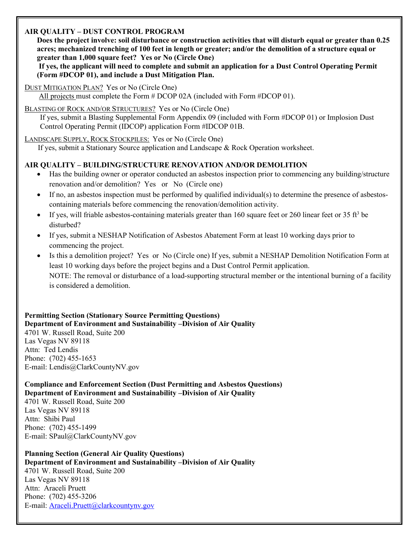# **AIR QUALITY – DUST CONTROL PROGRAM**

**Does the project involve: soil disturbance or construction activities that will disturb equal or greater than 0.25 acres; mechanized trenching of 100 feet in length or greater; and/or the demolition of a structure equal or greater than 1,000 square feet? Yes or No (Circle One)**

**If yes, the applicant will need to complete and submit an application for a Dust Control Operating Permit (Form #DCOP 01), and include a Dust Mitigation Plan.**

DUST MITIGATION PLAN? Yes or No (Circle One)

All projects must complete the Form # DCOP 02A (included with Form #DCOP 01).

BLASTING OF ROCK AND/OR STRUCTURES? Yes or No (Circle One)

 If yes, submit a Blasting Supplemental Form Appendix 09 (included with Form #DCOP 01) or Implosion Dust Control Operating Permit (IDCOP) application Form #IDCOP 01B.

LANDSCAPE SUPPLY, ROCK STOCKPILES: Yes or No (Circle One)

If yes, submit a Stationary Source application and Landscape & Rock Operation worksheet.

# **AIR QUALITY – BUILDING/STRUCTURE RENOVATION AND/OR DEMOLITION**

- Has the building owner or operator conducted an asbestos inspection prior to commencing any building/structure renovation and/or demolition? Yes or No (Circle one)
- If no, an asbestos inspection must be performed by qualified individual(s) to determine the presence of asbestoscontaining materials before commencing the renovation/demolition activity.
- If yes, will friable asbestos-containing materials greater than 160 square feet or 260 linear feet or 35 ft<sup>3</sup> be disturbed?
- If yes, submit a NESHAP Notification of Asbestos Abatement Form at least 10 working days prior to commencing the project.
- Is this a demolition project? Yes or No (Circle one) If yes, submit a NESHAP Demolition Notification Form at least 10 working days before the project begins and a Dust Control Permit application. NOTE: The removal or disturbance of a load-supporting structural member or the intentional burning of a facility is considered a demolition.

### **Permitting Section (Stationary Source Permitting Questions) Department of Environment and Sustainability –Division of Air Quality**  4701 W. Russell Road, Suite 200

Las Vegas NV 89118 Attn: Ted Lendis Phone: (702) 455-1653 E-mail: Lendis@ClarkCountyNV.gov

**Compliance and Enforcement Section (Dust Permitting and Asbestos Questions) Department of Environment and Sustainability –Division of Air Quality** 

4701 W. Russell Road, Suite 200 Las Vegas NV 89118 Attn: Shibi Paul Phone: (702) 455-1499 E-mail: SPaul@ClarkCountyNV.gov

**Planning Section (General Air Quality Questions) Department of Environment and Sustainability –Division of Air Quality**  4701 W. Russell Road, Suite 200 Las Vegas NV 89118 Attn: Araceli Pruett Phone: (702) 455-3206 E-mail[: Araceli.Pruett@clarkcountynv.gov](mailto:Araceli.Pruett@clarkcountynv.gov)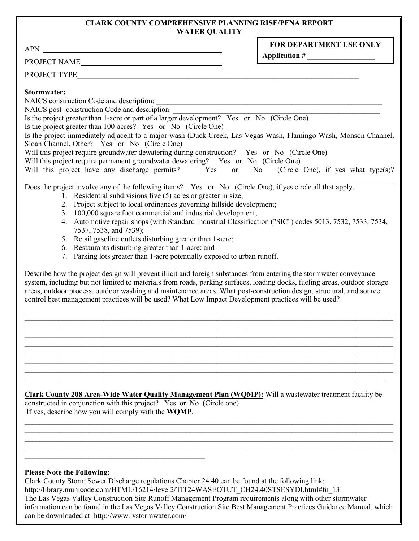#### **CLARK COUNTY COMPREHENSIVE PLANNING RISE/PFNA REPORT WATER QUALITY**

APN

PROJECT NAME

**FOR DEPARTMENT USE ONLY Application #** *\_\_\_\_\_\_\_\_\_\_\_\_\_\_\_\_\_\_* 

PROJECT TYPE

# **Stormwater:**

NAICS construction Code and description:

NAICS post -construction Code and description:

Is the project greater than 1-acre or part of a larger development? Yes or No (Circle One)

Is the project greater than 100-acres? Yes or No (Circle One)

Is the project immediately adjacent to a major wash (Duck Creek, Las Vegas Wash, Flamingo Wash, Monson Channel, Sloan Channel, Other? Yes or No (Circle One)

Will this project require groundwater dewatering during construction? Yes or No (Circle One)

Will this project require permanent groundwater dewatering? Yes or No (Circle One)

Will this project have any discharge permits? Yes or No (Circle One), if yes what type(s)?

 $\_$ Does the project involve any of the following items? Yes or No (Circle One), if yes circle all that apply.

- 1. Residential subdivisions five (5) acres or greater in size;
- 2. Project subject to local ordinances governing hillside development;
- 3. 100,000 square foot commercial and industrial development;
- 4. Automotive repair shops (with Standard Industrial Classification ("SIC") codes 5013, 7532, 7533, 7534, 7537, 7538, and 7539);
- 5. Retail gasoline outlets disturbing greater than 1-acre;
- 6. Restaurants disturbing greater than 1-acre; and
- 7. Parking lots greater than 1-acre potentially exposed to urban runoff.

 $\mathcal{L}_\text{max}$ 

Describe how the project design will prevent illicit and foreign substances from entering the stormwater conveyance system, including but not limited to materials from roads, parking surfaces, loading docks, fueling areas, outdoor storage areas, outdoor process, outdoor washing and maintenance areas. What post-construction design, structural, and source control best management practices will be used? What Low Impact Development practices will be used?

\_\_\_\_\_\_\_\_\_\_\_\_\_\_\_\_\_\_\_\_\_\_\_\_\_\_\_\_\_\_\_\_\_\_\_\_\_\_\_\_\_\_\_\_\_\_\_\_\_\_\_\_\_\_\_\_\_\_\_\_\_\_\_\_\_\_\_\_\_\_\_\_\_\_\_\_\_\_\_\_\_\_\_\_\_\_\_\_\_\_\_\_\_\_\_\_\_\_  $\_$  , and the contribution of the contribution of the contribution of the contribution of the contribution of  $\mathcal{L}_\text{max}$  $\_$  , and the contribution of the contribution of the contribution of the contribution of the contribution of  $\mathcal{L}_\text{max}$ \_\_\_\_\_\_\_\_\_\_\_\_\_\_\_\_\_\_\_\_\_\_\_\_\_\_\_\_\_\_\_\_\_\_\_\_\_\_\_\_\_\_\_\_\_\_\_\_\_\_\_\_\_\_\_\_\_\_\_\_\_\_\_\_\_\_\_\_\_\_\_\_\_\_\_\_\_\_\_\_\_\_\_\_\_\_\_\_\_\_\_\_\_\_\_\_\_\_  $\_$  , and the contribution of the contribution of the contribution of the contribution of the contribution of  $\mathcal{L}_\text{max}$  $\_$  , and the contribution of the contribution of the contribution of the contribution of the contribution of  $\mathcal{L}_\text{max}$ 

**Clark County 208 Area-Wide Water Quality Management Plan (WQMP):** Will a wastewater treatment facility be constructed in conjunction with this project? Yes or No (Circle one) If yes, describe how you will comply with the **WQMP**.

 $\_$  , and the set of the set of the set of the set of the set of the set of the set of the set of the set of the set of the set of the set of the set of the set of the set of the set of the set of the set of the set of th  $\_$  , and the set of the set of the set of the set of the set of the set of the set of the set of the set of the set of the set of the set of the set of the set of the set of the set of the set of the set of the set of th \_\_\_\_\_\_\_\_\_\_\_\_\_\_\_\_\_\_\_\_\_\_\_\_\_\_\_\_\_\_\_\_\_\_\_\_\_\_\_\_\_\_\_\_\_\_\_\_\_\_\_\_\_\_\_\_\_\_\_\_\_\_\_\_\_\_\_\_\_\_\_\_\_\_\_\_\_\_\_\_\_\_\_\_\_\_\_\_\_\_\_\_\_\_\_\_\_\_  $\_$  , and the set of the set of the set of the set of the set of the set of the set of the set of the set of the set of the set of the set of the set of the set of the set of the set of the set of the set of the set of th

\_\_\_\_\_\_\_\_\_\_\_\_\_\_\_\_\_\_\_\_\_\_\_\_\_\_\_\_\_\_\_\_\_\_\_\_\_\_\_\_\_\_\_\_\_\_\_\_\_\_\_\_\_\_\_\_\_\_\_\_\_\_\_\_\_\_\_\_\_\_\_\_\_\_\_\_\_\_\_\_\_\_\_\_\_\_\_\_\_\_\_\_\_\_\_\_\_\_  $\_$  , and the contribution of the contribution of the contribution of the contribution of the contribution of  $\mathcal{L}_\text{max}$ 

# **Please Note the Following:**

\_\_\_\_\_\_\_\_\_\_\_\_\_\_\_\_\_\_\_\_\_\_\_\_\_\_\_\_\_\_\_\_\_\_\_\_\_\_\_\_\_\_\_\_\_\_\_\_

Clark County Storm Sewer Discharge regulations Chapter 24.40 can be found at the following link: http://library.municode.com/HTML/16214/level2/TIT24WASEOTUT\_CH24.40STSESYDI.html#fn\_13 The Las Vegas Valley Construction Site Runoff Management Program requirements along with other stormwater information can be found in the Las Vegas Valley Construction Site Best Management Practices Guidance Manual, which can be downloaded at http://www.lvstormwater.com/